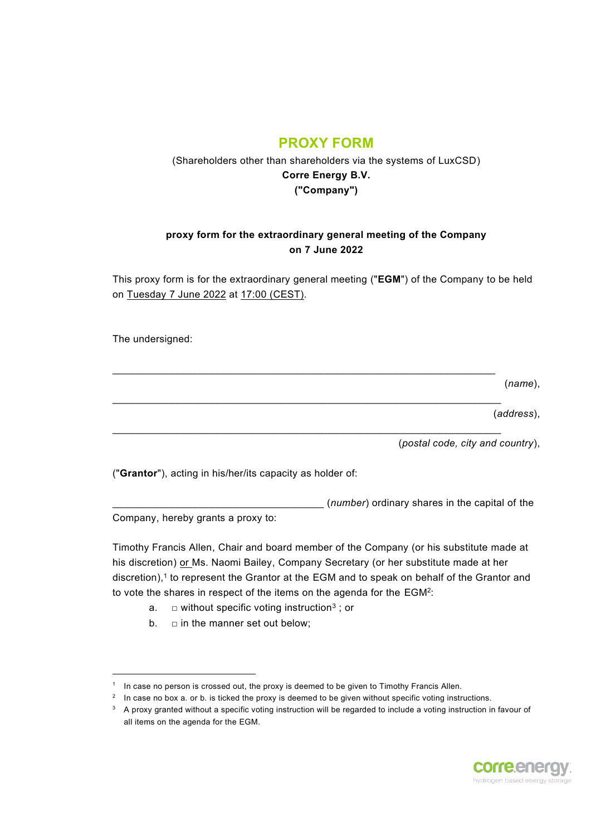## **PROXY FORM**

## (Shareholders other than shareholders via the systems of LuxCSD) **Corre Energy B.V. ("Company")**

## **proxy form for the extraordinary general meeting of the Company on 7 June 2022**

This proxy form is for the extraordinary general meeting ("**EGM**") of the Company to be held on Tuesday 7 June 2022 at 17:00 (CEST).

 $\mathcal{L}_\mathcal{L} = \{ \mathcal{L}_\mathcal{L} = \{ \mathcal{L}_\mathcal{L} = \{ \mathcal{L}_\mathcal{L} = \{ \mathcal{L}_\mathcal{L} = \{ \mathcal{L}_\mathcal{L} = \{ \mathcal{L}_\mathcal{L} = \{ \mathcal{L}_\mathcal{L} = \{ \mathcal{L}_\mathcal{L} = \{ \mathcal{L}_\mathcal{L} = \{ \mathcal{L}_\mathcal{L} = \{ \mathcal{L}_\mathcal{L} = \{ \mathcal{L}_\mathcal{L} = \{ \mathcal{L}_\mathcal{L} = \{ \mathcal{L}_\mathcal{$ 

 $\mathcal{L}_\mathcal{L} = \{ \mathcal{L}_\mathcal{L} = \{ \mathcal{L}_\mathcal{L} = \{ \mathcal{L}_\mathcal{L} = \{ \mathcal{L}_\mathcal{L} = \{ \mathcal{L}_\mathcal{L} = \{ \mathcal{L}_\mathcal{L} = \{ \mathcal{L}_\mathcal{L} = \{ \mathcal{L}_\mathcal{L} = \{ \mathcal{L}_\mathcal{L} = \{ \mathcal{L}_\mathcal{L} = \{ \mathcal{L}_\mathcal{L} = \{ \mathcal{L}_\mathcal{L} = \{ \mathcal{L}_\mathcal{L} = \{ \mathcal{L}_\mathcal{$ 

 $\mathcal{L}_\mathcal{L} = \{ \mathcal{L}_\mathcal{L} = \{ \mathcal{L}_\mathcal{L} = \{ \mathcal{L}_\mathcal{L} = \{ \mathcal{L}_\mathcal{L} = \{ \mathcal{L}_\mathcal{L} = \{ \mathcal{L}_\mathcal{L} = \{ \mathcal{L}_\mathcal{L} = \{ \mathcal{L}_\mathcal{L} = \{ \mathcal{L}_\mathcal{L} = \{ \mathcal{L}_\mathcal{L} = \{ \mathcal{L}_\mathcal{L} = \{ \mathcal{L}_\mathcal{L} = \{ \mathcal{L}_\mathcal{L} = \{ \mathcal{L}_\mathcal{$ 

The undersigned:

(*name*),

(*address*),

(*postal code, city and country*),

("**Grantor**"), acting in his/her/its capacity as holder of:

\_\_\_\_\_\_\_\_\_\_\_\_\_\_\_\_\_\_\_\_\_\_\_\_\_\_\_\_\_\_\_\_\_\_\_\_\_ (*number*) ordinary shares in the capital of the Company, hereby grants a proxy to:

Timothy Francis Allen, Chair and board member of the Company (or his substitute made at his discretion) or Ms. Naomi Bailey, Company Secretary (or her substitute made at her discretion), 1 to represent the Grantor at the EGM and to speak on behalf of the Grantor and to vote the shares in respect of the items on the agenda for the  $EGM^2$ :

- a.  $\quad \Box$  without specific voting instruction $^3$  ; or
- b.  $\Box$  in the manner set out below;

 $^3$   $\,$  A proxy granted without a specific voting instruction will be regarded to include a voting instruction in favour of all items on the agenda for the EGM.



 $1$  In case no person is crossed out, the proxy is deemed to be given to Timothy Francis Allen.

 $^2$  In case no box a. or b. is ticked the proxy is deemed to be given without specific voting instructions.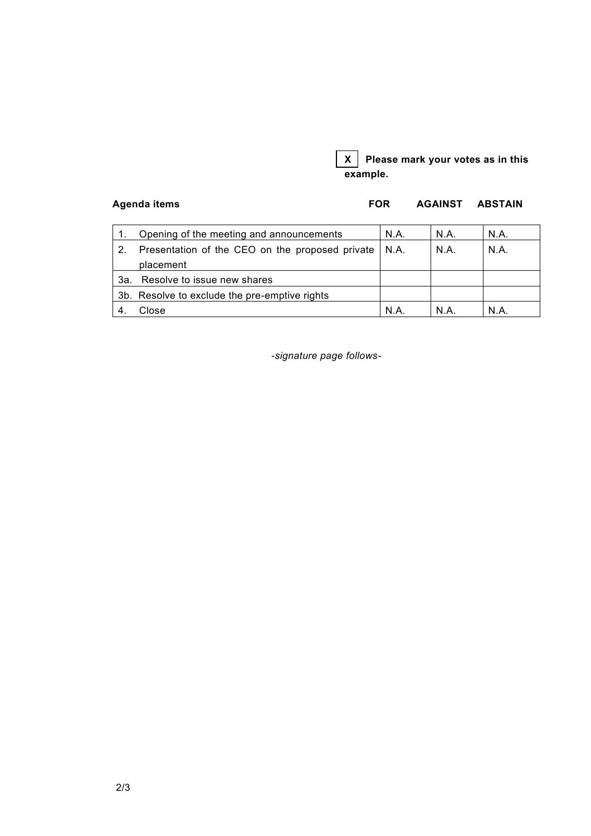

Agenda items **FOR AGAINST ABSTAIN** 

|     | Opening of the meeting and announcements        | N.A.   | N.A. | N.A. |
|-----|-------------------------------------------------|--------|------|------|
|     | Presentation of the CEO on the proposed private | I N.A. | N.A. | N.A. |
|     | placement                                       |        |      |      |
| 3а. | Resolve to issue new shares                     |        |      |      |
|     | 3b. Resolve to exclude the pre-emptive rights   |        |      |      |
|     | Close                                           | N.A    | N A  | N.A. |

*-signature page follows-*